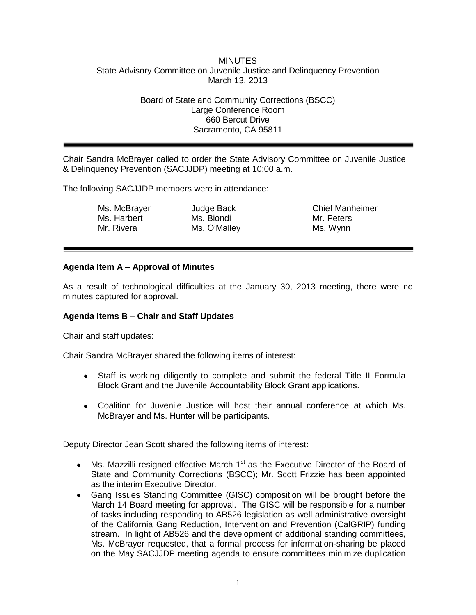### **MINUTES** State Advisory Committee on Juvenile Justice and Delinquency Prevention March 13, 2013

### Board of State and Community Corrections (BSCC) Large Conference Room 660 Bercut Drive Sacramento, CA 95811

Chair Sandra McBrayer called to order the State Advisory Committee on Juvenile Justice & Delinquency Prevention (SACJJDP) meeting at 10:00 a.m.

The following SACJJDP members were in attendance:

Ms. McBrayer Ms. Harbert Mr. Rivera

Judge Back Ms. Biondi Ms. O'Malley

Chief Manheimer Mr. Peters Ms. Wynn

# **Agenda Item A – Approval of Minutes**

As a result of technological difficulties at the January 30, 2013 meeting, there were no minutes captured for approval.

#### **Agenda Items B – Chair and Staff Updates**

#### Chair and staff updates:

Chair Sandra McBrayer shared the following items of interest:

- Staff is working diligently to complete and submit the federal Title II Formula  $\bullet$ Block Grant and the Juvenile Accountability Block Grant applications.
- Coalition for Juvenile Justice will host their annual conference at which Ms. McBrayer and Ms. Hunter will be participants.

Deputy Director Jean Scott shared the following items of interest:

- Ms. Mazzilli resigned effective March  $1<sup>st</sup>$  as the Executive Director of the Board of State and Community Corrections (BSCC); Mr. Scott Frizzie has been appointed as the interim Executive Director.
- Gang Issues Standing Committee (GISC) composition will be brought before the March 14 Board meeting for approval. The GISC will be responsible for a number of tasks including responding to AB526 legislation as well administrative oversight of the California Gang Reduction, Intervention and Prevention (CalGRIP) funding stream. In light of AB526 and the development of additional standing committees, Ms. McBrayer requested, that a formal process for information-sharing be placed on the May SACJJDP meeting agenda to ensure committees minimize duplication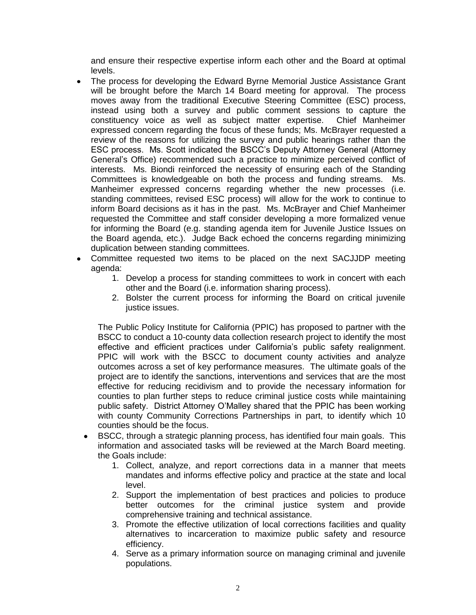and ensure their respective expertise inform each other and the Board at optimal levels.

- The process for developing the Edward Byrne Memorial Justice Assistance Grant will be brought before the March 14 Board meeting for approval. The process moves away from the traditional Executive Steering Committee (ESC) process, instead using both a survey and public comment sessions to capture the constituency voice as well as subject matter expertise. Chief Manheimer expressed concern regarding the focus of these funds; Ms. McBrayer requested a review of the reasons for utilizing the survey and public hearings rather than the ESC process. Ms. Scott indicated the BSCC's Deputy Attorney General (Attorney General's Office) recommended such a practice to minimize perceived conflict of interests. Ms. Biondi reinforced the necessity of ensuring each of the Standing Committees is knowledgeable on both the process and funding streams. Ms. Manheimer expressed concerns regarding whether the new processes (i.e. standing committees, revised ESC process) will allow for the work to continue to inform Board decisions as it has in the past. Ms. McBrayer and Chief Manheimer requested the Committee and staff consider developing a more formalized venue for informing the Board (e.g. standing agenda item for Juvenile Justice Issues on the Board agenda, etc.). Judge Back echoed the concerns regarding minimizing duplication between standing committees.
- Committee requested two items to be placed on the next SACJJDP meeting agenda:
	- 1. Develop a process for standing committees to work in concert with each other and the Board (i.e. information sharing process).
	- 2. Bolster the current process for informing the Board on critical juvenile justice issues.

The Public Policy Institute for California (PPIC) has proposed to partner with the BSCC to conduct a 10-county data collection research project to identify the most effective and efficient practices under California's public safety realignment. PPIC will work with the BSCC to document county activities and analyze outcomes across a set of key performance measures. The ultimate goals of the project are to identify the sanctions, interventions and services that are the most effective for reducing recidivism and to provide the necessary information for counties to plan further steps to reduce criminal justice costs while maintaining public safety. District Attorney O'Malley shared that the PPIC has been working with county Community Corrections Partnerships in part, to identify which 10 counties should be the focus.

- BSCC, through a strategic planning process, has identified four main goals. This information and associated tasks will be reviewed at the March Board meeting. the Goals include:
	- 1. Collect, analyze, and report corrections data in a manner that meets mandates and informs effective policy and practice at the state and local level.
	- 2. Support the implementation of best practices and policies to produce better outcomes for the criminal justice system and provide comprehensive training and technical assistance.
	- 3. Promote the effective utilization of local corrections facilities and quality alternatives to incarceration to maximize public safety and resource efficiency.
	- 4. Serve as a primary information source on managing criminal and juvenile populations.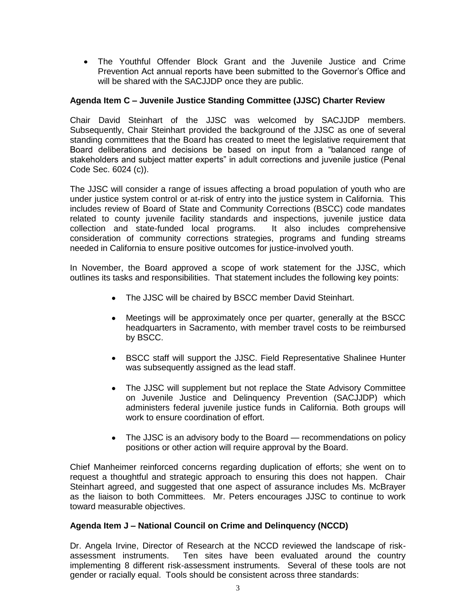The Youthful Offender Block Grant and the Juvenile Justice and Crime Prevention Act annual reports have been submitted to the Governor's Office and will be shared with the SACJJDP once they are public.

# **Agenda Item C – Juvenile Justice Standing Committee (JJSC) Charter Review**

Chair David Steinhart of the JJSC was welcomed by SACJJDP members. Subsequently, Chair Steinhart provided the background of the JJSC as one of several standing committees that the Board has created to meet the legislative requirement that Board deliberations and decisions be based on input from a "balanced range of stakeholders and subject matter experts" in adult corrections and juvenile justice (Penal Code Sec. 6024 (c)).

The JJSC will consider a range of issues affecting a broad population of youth who are under justice system control or at-risk of entry into the justice system in California. This includes review of Board of State and Community Corrections (BSCC) code mandates related to county juvenile facility standards and inspections, juvenile justice data collection and state-funded local programs. It also includes comprehensive consideration of community corrections strategies, programs and funding streams needed in California to ensure positive outcomes for justice-involved youth.

In November, the Board approved a scope of work statement for the JJSC, which outlines its tasks and responsibilities. That statement includes the following key points:

- The JJSC will be chaired by BSCC member David Steinhart.
- Meetings will be approximately once per quarter, generally at the BSCC  $\bullet$ headquarters in Sacramento, with member travel costs to be reimbursed by BSCC.
- $\bullet$ BSCC staff will support the JJSC. Field Representative Shalinee Hunter was subsequently assigned as the lead staff.
- The JJSC will supplement but not replace the State Advisory Committee on Juvenile Justice and Delinquency Prevention (SACJJDP) which administers federal juvenile justice funds in California. Both groups will work to ensure coordination of effort.
- The JJSC is an advisory body to the Board recommendations on policy positions or other action will require approval by the Board.

Chief Manheimer reinforced concerns regarding duplication of efforts; she went on to request a thoughtful and strategic approach to ensuring this does not happen. Chair Steinhart agreed, and suggested that one aspect of assurance includes Ms. McBrayer as the liaison to both Committees. Mr. Peters encourages JJSC to continue to work toward measurable objectives.

# **Agenda Item J – National Council on Crime and Delinquency (NCCD)**

Dr. Angela Irvine, Director of Research at the NCCD reviewed the landscape of riskassessment instruments. Ten sites have been evaluated around the country implementing 8 different risk-assessment instruments. Several of these tools are not gender or racially equal. Tools should be consistent across three standards: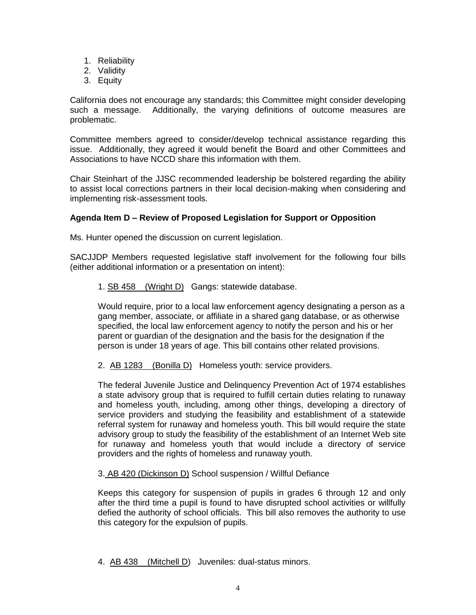- 1. Reliability
- 2. Validity
- 3. Equity

California does not encourage any standards; this Committee might consider developing such a message. Additionally, the varying definitions of outcome measures are problematic.

Committee members agreed to consider/develop technical assistance regarding this issue. Additionally, they agreed it would benefit the Board and other Committees and Associations to have NCCD share this information with them.

Chair Steinhart of the JJSC recommended leadership be bolstered regarding the ability to assist local corrections partners in their local decision-making when considering and implementing risk-assessment tools.

# **Agenda Item D – Review of Proposed Legislation for Support or Opposition**

Ms. Hunter opened the discussion on current legislation.

SACJJDP Members requested legislative staff involvement for the following four bills (either additional information or a presentation on intent):

## 1. [SB 458](http://www.leginfo.ca.gov/cgi-bin/postquery?bill_number=sb_458&sess=1314&house=B) [\(Wright](http://sd35.senate.ca.gov/) D) Gangs: statewide database.

Would require, prior to a local law enforcement agency designating a person as a gang member, associate, or affiliate in a shared gang database, or as otherwise specified, the local law enforcement agency to notify the person and his or her parent or guardian of the designation and the basis for the designation if the person is under 18 years of age. This bill contains other related provisions.

2. [AB 1283](http://www.leginfo.ca.gov/cgi-bin/postquery?bill_number=ab_1283&sess=1314&house=B) [\(Bonilla](http://asmdc.org/members/a14/) D) Homeless youth: service providers.

The federal Juvenile Justice and Delinquency Prevention Act of 1974 establishes a state advisory group that is required to fulfill certain duties relating to runaway and homeless youth, including, among other things, developing a directory of service providers and studying the feasibility and establishment of a statewide referral system for runaway and homeless youth. This bill would require the state advisory group to study the feasibility of the establishment of an Internet Web site for runaway and homeless youth that would include a directory of service providers and the rights of homeless and runaway youth.

#### 3. AB 420 (Dickinson D) School suspension / Willful Defiance

Keeps this category for suspension of pupils in grades 6 through 12 and only after the third time a pupil is found to have disrupted school activities or willfully defied the authority of school officials. This bill also removes the authority to use this category for the expulsion of pupils.

4. [AB 438](http://www.leginfo.ca.gov/cgi-bin/postquery?bill_number=ab_438&sess=1314&house=B) [\(Mitchell](http://asmdc.org/members/a54/) D) Juveniles: dual-status minors.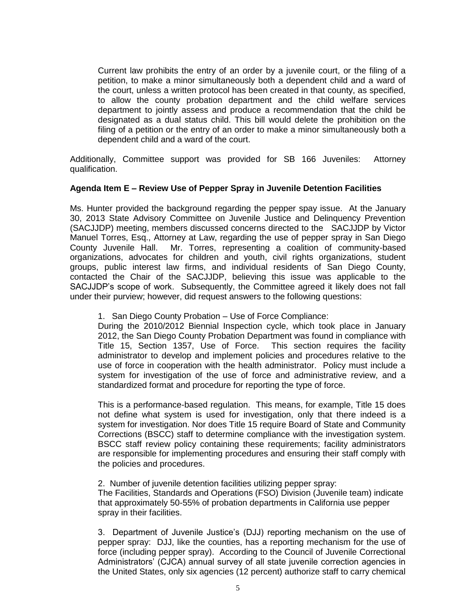Current law prohibits the entry of an order by a juvenile court, or the filing of a petition, to make a minor simultaneously both a dependent child and a ward of the court, unless a written protocol has been created in that county, as specified, to allow the county probation department and the child welfare services department to jointly assess and produce a recommendation that the child be designated as a dual status child. This bill would delete the prohibition on the filing of a petition or the entry of an order to make a minor simultaneously both a dependent child and a ward of the court.

Additionally, Committee support was provided for SB 166 Juveniles: Attorney qualification.

## **Agenda Item E – Review Use of Pepper Spray in Juvenile Detention Facilities**

Ms. Hunter provided the background regarding the pepper spay issue. At the January 30, 2013 State Advisory Committee on Juvenile Justice and Delinquency Prevention (SACJJDP) meeting, members discussed concerns directed to the SACJJDP by Victor Manuel Torres, Esq., Attorney at Law, regarding the use of pepper spray in San Diego County Juvenile Hall. Mr. Torres, representing a coalition of community-based organizations, advocates for children and youth, civil rights organizations, student groups, public interest law firms, and individual residents of San Diego County, contacted the Chair of the SACJJDP, believing this issue was applicable to the SACJJDP's scope of work. Subsequently, the Committee agreed it likely does not fall under their purview; however, did request answers to the following questions:

1. San Diego County Probation – Use of Force Compliance:

During the 2010/2012 Biennial Inspection cycle, which took place in January 2012, the San Diego County Probation Department was found in compliance with Title 15, Section 1357, Use of Force. This section requires the facility administrator to develop and implement policies and procedures relative to the use of force in cooperation with the health administrator. Policy must include a system for investigation of the use of force and administrative review, and a standardized format and procedure for reporting the type of force.

This is a performance-based regulation. This means, for example, Title 15 does not define what system is used for investigation, only that there indeed is a system for investigation. Nor does Title 15 require Board of State and Community Corrections (BSCC) staff to determine compliance with the investigation system. BSCC staff review policy containing these requirements; facility administrators are responsible for implementing procedures and ensuring their staff comply with the policies and procedures.

2. Number of juvenile detention facilities utilizing pepper spray: The Facilities, Standards and Operations (FSO) Division (Juvenile team) indicate that approximately 50-55% of probation departments in California use pepper spray in their facilities.

3. Department of Juvenile Justice's (DJJ) reporting mechanism on the use of pepper spray: DJJ, like the counties, has a reporting mechanism for the use of force (including pepper spray). According to the Council of Juvenile Correctional Administrators' (CJCA) annual survey of all state juvenile correction agencies in the United States, only six agencies (12 percent) authorize staff to carry chemical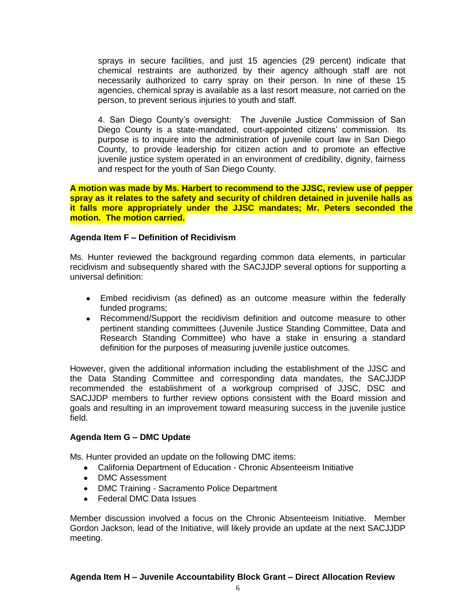sprays in secure facilities, and just 15 agencies (29 percent) indicate that chemical restraints are authorized by their agency although staff are not necessarily authorized to carry spray on their person. In nine of these 15 agencies, chemical spray is available as a last resort measure, not carried on the person, to prevent serious injuries to youth and staff.

4. San Diego County's oversight: The Juvenile Justice Commission of San Diego County is a state-mandated, court-appointed citizens' commission. Its purpose is to inquire into the administration of juvenile court law in San Diego County, to provide leadership for citizen action and to promote an effective juvenile justice system operated in an environment of credibility, dignity, fairness and respect for the youth of San Diego County.

**A motion was made by Ms. Harbert to recommend to the JJSC, review use of pepper spray as it relates to the safety and security of children detained in juvenile halls as it falls more appropriately under the JJSC mandates; Mr. Peters seconded the motion. The motion carried.** 

## **Agenda Item F – Definition of Recidivism**

Ms. Hunter reviewed the background regarding common data elements, in particular recidivism and subsequently shared with the SACJJDP several options for supporting a universal definition:

- Embed recidivism (as defined) as an outcome measure within the federally funded programs;
- Recommend/Support the recidivism definition and outcome measure to other pertinent standing committees (Juvenile Justice Standing Committee, Data and Research Standing Committee) who have a stake in ensuring a standard definition for the purposes of measuring juvenile justice outcomes.

However, given the additional information including the establishment of the JJSC and the Data Standing Committee and corresponding data mandates, the SACJJDP recommended the establishment of a workgroup comprised of JJSC, DSC and SACJJDP members to further review options consistent with the Board mission and goals and resulting in an improvement toward measuring success in the juvenile justice field.

#### **Agenda Item G – DMC Update**

Ms. Hunter provided an update on the following DMC items:

- California Department of Education Chronic Absenteeism Initiative
- DMC Assessment
- DMC Training Sacramento Police Department
- Federal DMC Data Issues

Member discussion involved a focus on the Chronic Absenteeism Initiative. Member Gordon Jackson, lead of the Initiative, will likely provide an update at the next SACJJDP meeting.

# **Agenda Item H – Juvenile Accountability Block Grant – Direct Allocation Review**